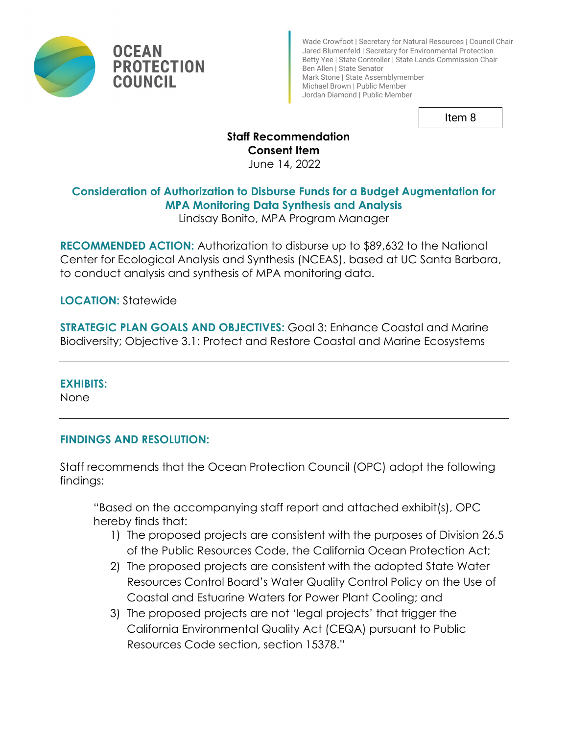

Wade Crowfoot | Secretary for Natural Resources | Council Chair Jared Blumenfeld | Secretary for Environmental Protection Betty Yee | State Controller | State Lands Commission Chair Ben Allen | State Senator Mark Stone | State Assemblymember Michael Brown | Public Member Jordan Diamond | Public Member

Item 8

#### **Staff Recommendation Consent Item**

June 14, 2022

# **Consideration of Authorization to Disburse Funds for a Budget Augmentation for MPA Monitoring Data Synthesis and Analysis**

Lindsay Bonito, MPA Program Manager

**RECOMMENDED ACTION:** Authorization to disburse up to \$89,632 to the National Center for Ecological Analysis and Synthesis (NCEAS), based at UC Santa Barbara, to conduct analysis and synthesis of MPA monitoring data.

**LOCATION:** Statewide

**STRATEGIC PLAN GOALS AND OBJECTIVES:** Goal 3: Enhance Coastal and Marine Biodiversity; Objective 3.1: Protect and Restore Coastal and Marine Ecosystems

## **EXHIBITS:**

None

# **FINDINGS AND RESOLUTION:**

Staff recommends that the Ocean Protection Council (OPC) adopt the following findings:

"Based on the accompanying staff report and attached exhibit(s), OPC hereby finds that:

- 1) The proposed projects are consistent with the purposes of Division 26.5 of the Public Resources Code, the California Ocean Protection Act;
- 2) The proposed projects are consistent with the adopted State Water Resources Control Board's Water Quality Control Policy on the Use of Coastal and Estuarine Waters for Power Plant Cooling; and
- 3) The proposed projects are not 'legal projects' that trigger the California Environmental Quality Act (CEQA) pursuant to Public Resources Code section, section 15378."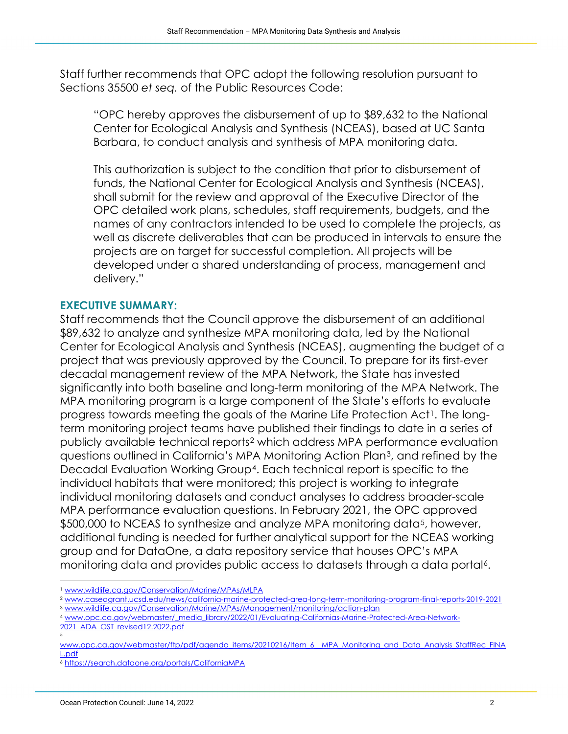Staff further recommends that OPC adopt the following resolution pursuant to Sections 35500 *et seq.* of the Public Resources Code:

"OPC hereby approves the disbursement of up to \$89,632 to the National Center for Ecological Analysis and Synthesis (NCEAS), based at UC Santa Barbara, to conduct analysis and synthesis of MPA monitoring data.

This authorization is subject to the condition that prior to disbursement of funds, the National Center for Ecological Analysis and Synthesis (NCEAS), shall submit for the review and approval of the Executive Director of the OPC detailed work plans, schedules, staff requirements, budgets, and the names of any contractors intended to be used to complete the projects, as well as discrete deliverables that can be produced in intervals to ensure the projects are on target for successful completion. All projects will be developed under a shared understanding of process, management and delivery."

#### **EXECUTIVE SUMMARY:**

Staff recommends that the Council approve the disbursement of an additional \$89,632 to analyze and synthesize MPA monitoring data, led by the National Center for Ecological Analysis and Synthesis (NCEAS), augmenting the budget of a project that was previously approved by the Council. To prepare for its first-ever decadal management review of the MPA Network, the State has invested significantly into both baseline and long-term monitoring of the MPA Network. The MPA monitoring program is a large component of the State's efforts to evaluate progress towards meeting the goals of the Marine Life Protection Act<sup>[1](#page-1-0)</sup>. The longterm monitoring project teams have published their findings to date in a series of publicly available technical reports[2](#page-1-1) which address MPA performance evaluation questions outlined in California's MPA Monitoring Action Plan[3](#page-1-2), and refined by the Decadal Evaluation Working Group[4](#page-1-3). Each technical report is specific to the individual habitats that were monitored; this project is working to integrate individual monitoring datasets and conduct analyses to address broader-scale MPA performance evaluation questions. In February 2021, the OPC approved \$500,000 to NCEAS to synthesize and analyze MPA monitoring data<sup>5</sup>, however, additional funding is needed for further analytical support for the NCEAS working group and for DataOne, a data repository service that houses OPC's MPA monitoring data and provides public access to datasets through a data portal<sup>6</sup>.

[2021\\_ADA\\_OST\\_revised12.2022.pdf](http://www.opc.ca.gov/webmaster/_media_library/2022/01/Evaluating-Californias-Marine-Protected-Area-Network-2021_ADA_OST_revised12.2022.pdf)

<span id="page-1-1"></span><span id="page-1-0"></span><sup>&</sup>lt;sup>1</sup> www.wildlife.ca.gov/Conservation/Marine/MPAs/MLPA<br><sup>2</sup> www.caseagrant.ucsd.edu/news/california-marine-protected-area-long-term-monitoring-program-final-reports-2019-2021<br><sup>3</sup> www.wildlife.ca.gov/Conservation/Marine/MPAs/

<span id="page-1-3"></span><span id="page-1-2"></span>

<sup>5</sup>

<span id="page-1-4"></span>[www.opc.ca.gov/webmaster/ftp/pdf/agenda\\_items/20210216/Item\\_6\\_\\_MPA\\_Monitoring\\_and\\_Data\\_Analysis\\_StaffRec\\_FINA](http://www.opc.ca.gov/webmaster/ftp/pdf/agenda_items/20210216/Item_6__MPA_Monitoring_and_Data_Analysis_StaffRec_FINAL.pdf) [L.pdf](http://www.opc.ca.gov/webmaster/ftp/pdf/agenda_items/20210216/Item_6__MPA_Monitoring_and_Data_Analysis_StaffRec_FINAL.pdf) 6 <https://search.dataone.org/portals/CaliforniaMPA>

<span id="page-1-5"></span>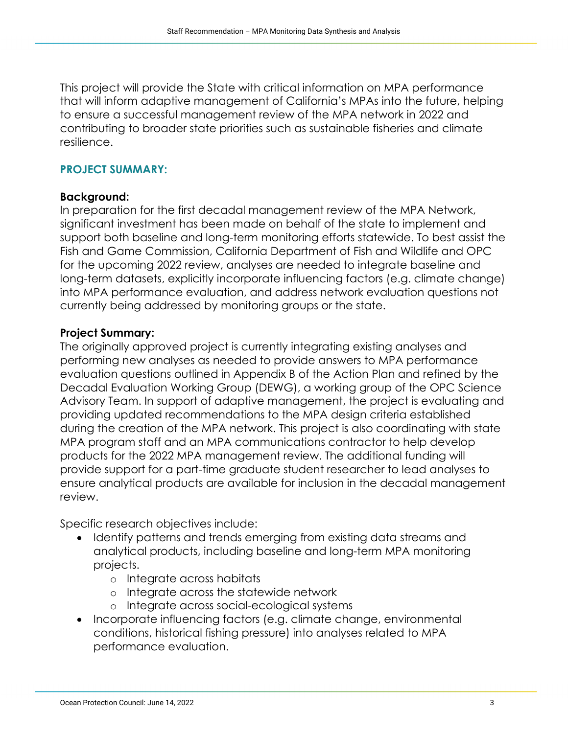This project will provide the State with critical information on MPA performance that will inform adaptive management of California's MPAs into the future, helping to ensure a successful management review of the MPA network in 2022 and contributing to broader state priorities such as sustainable fisheries and climate resilience.

# **PROJECT SUMMARY:**

## **Background:**

In preparation for the first decadal management review of the MPA Network, significant investment has been made on behalf of the state to implement and support both baseline and long-term monitoring efforts statewide. To best assist the Fish and Game Commission, California Department of Fish and Wildlife and OPC for the upcoming 2022 review, analyses are needed to integrate baseline and long-term datasets, explicitly incorporate influencing factors (e.g. climate change) into MPA performance evaluation, and address network evaluation questions not currently being addressed by monitoring groups or the state.

#### **Project Summary:**

The originally approved project is currently integrating existing analyses and performing new analyses as needed to provide answers to MPA performance evaluation questions outlined in Appendix B of the Action Plan and refined by the Decadal Evaluation Working Group (DEWG), a working group of the OPC Science Advisory Team. In support of adaptive management, the project is evaluating and providing updated recommendations to the MPA design criteria established during the creation of the MPA network. This project is also coordinating with state MPA program staff and an MPA communications contractor to help develop products for the 2022 MPA management review. The additional funding will provide support for a part-time graduate student researcher to lead analyses to ensure analytical products are available for inclusion in the decadal management review.

Specific research objectives include:

- Identify patterns and trends emerging from existing data streams and analytical products, including baseline and long-term MPA monitoring projects.
	- o Integrate across habitats
	- o Integrate across the statewide network
	- o Integrate across social-ecological systems
- Incorporate influencing factors (e.g. climate change, environmental conditions, historical fishing pressure) into analyses related to MPA performance evaluation.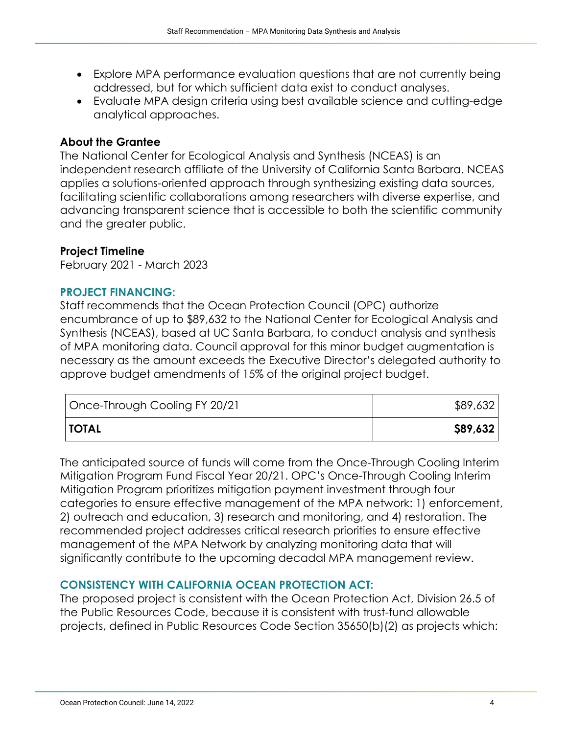- Explore MPA performance evaluation questions that are not currently being addressed, but for which sufficient data exist to conduct analyses.
- Evaluate MPA design criteria using best available science and cutting-edge analytical approaches.

# **About the Grantee**

The National Center for Ecological Analysis and Synthesis (NCEAS) is an independent research affiliate of the University of California Santa Barbara. NCEAS applies a solutions-oriented approach through synthesizing existing data sources, facilitating scientific collaborations among researchers with diverse expertise, and advancing transparent science that is accessible to both the scientific community and the greater public.

# **Project Timeline**

February 2021 - March 2023

## **PROJECT FINANCING:**

Staff recommends that the Ocean Protection Council (OPC) authorize encumbrance of up to \$89,632 to the National Center for Ecological Analysis and Synthesis (NCEAS), based at UC Santa Barbara, to conduct analysis and synthesis of MPA monitoring data. Council approval for this minor budget augmentation is necessary as the amount exceeds the Executive Director's delegated authority to approve budget amendments of 15% of the original project budget.

| Once-Through Cooling FY 20/21 | \$89,632 |
|-------------------------------|----------|
| <b>TOTAL</b>                  | \$89,632 |

The anticipated source of funds will come from the Once-Through Cooling Interim Mitigation Program Fund Fiscal Year 20/21. OPC's Once-Through Cooling Interim Mitigation Program prioritizes mitigation payment investment through four categories to ensure effective management of the MPA network: 1) enforcement, 2) outreach and education, 3) research and monitoring, and 4) restoration. The recommended project addresses critical research priorities to ensure effective management of the MPA Network by analyzing monitoring data that will significantly contribute to the upcoming decadal MPA management review.

## **CONSISTENCY WITH CALIFORNIA OCEAN PROTECTION ACT:**

The proposed project is consistent with the Ocean Protection Act, Division 26.5 of the Public Resources Code, because it is consistent with trust-fund allowable projects, defined in Public Resources Code Section 35650(b)(2) as projects which: